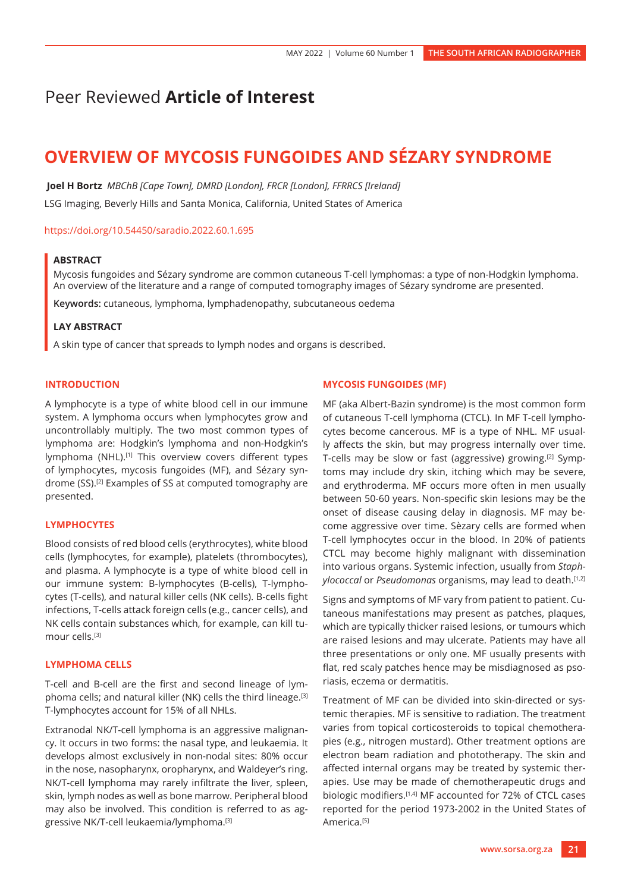## Peer Reviewed **Article of Interest**

# **OVERVIEW OF MYCOSIS FUNGOIDES AND SÉZARY SYNDROME**

 **Joel H Bortz** *MBChB [Cape Town], DMRD [London], FRCR [London], FFRRCS [Ireland]* LSG Imaging, Beverly Hills and Santa Monica, California, United States of America

<https://doi.org/10.54450/saradio.2022.60.1.695>

#### **ABSTRACT**

Mycosis fungoides and Sézary syndrome are common cutaneous T-cell lymphomas: a type of non-Hodgkin lymphoma. An overview of the literature and a range of computed tomography images of Sézary syndrome are presented.

**Keywords:** cutaneous, lymphoma, lymphadenopathy, subcutaneous oedema

#### **LAY ABSTRACT**

A skin type of cancer that spreads to lymph nodes and organs is described.

#### **INTRODUCTION**

A lymphocyte is a type of white blood cell in our immune system. A lymphoma occurs when lymphocytes grow and uncontrollably multiply. The two most common types of lymphoma are: Hodgkin's lymphoma and non-Hodgkin's lymphoma (NHL).<sup>[1]</sup> This overview covers different types of lymphocytes, mycosis fungoides (MF), and Sézary syndrome (SS).[2] Examples of SS at computed tomography are presented.

#### **LYMPHOCYTES**

Blood consists of red blood cells (erythrocytes), white blood cells (lymphocytes, for example), platelets (thrombocytes), and plasma. A lymphocyte is a type of white blood cell in our immune system: B-lymphocytes (B-cells), T-lymphocytes (T-cells), and natural killer cells (NK cells). B-cells fight infections, T-cells attack foreign cells (e.g., cancer cells), and NK cells contain substances which, for example, can kill tumour cells.[3]

#### **LYMPHOMA CELLS**

T-cell and B-cell are the first and second lineage of lymphoma cells; and natural killer (NK) cells the third lineage.[3] T-lymphocytes account for 15% of all NHLs.

Extranodal NK/T-cell lymphoma is an aggressive malignancy. It occurs in two forms: the nasal type, and leukaemia. It develops almost exclusively in non-nodal sites: 80% occur in the nose, nasopharynx, oropharynx, and Waldeyer's ring. NK/T-cell lymphoma may rarely infiltrate the liver, spleen, skin, lymph nodes as well as bone marrow. Peripheral blood may also be involved. This condition is referred to as aggressive NK/T-cell leukaemia/lymphoma.[3]

#### **MYCOSIS FUNGOIDES (MF)**

MF (aka Albert-Bazin syndrome) is the most common form of cutaneous T-cell lymphoma (CTCL). In MF T-cell lymphocytes become cancerous. MF is a type of NHL. MF usually affects the skin, but may progress internally over time. T-cells may be slow or fast (aggressive) growing.[2] Symptoms may include dry skin, itching which may be severe, and erythroderma. MF occurs more often in men usually between 50-60 years. Non-specific skin lesions may be the onset of disease causing delay in diagnosis. MF may become aggressive over time. Sèzary cells are formed when T-cell lymphocytes occur in the blood. In 20% of patients CTCL may become highly malignant with dissemination into various organs. Systemic infection, usually from *Staphylococcal* or *Pseudomonas* organisms, may lead to death.<sup>[1,2]</sup>

Signs and symptoms of MF vary from patient to patient. Cutaneous manifestations may present as patches, plaques, which are typically thicker raised lesions, or tumours which are raised lesions and may ulcerate. Patients may have all three presentations or only one. MF usually presents with flat, red scaly patches hence may be misdiagnosed as psoriasis, eczema or dermatitis.

Treatment of MF can be divided into skin-directed or systemic therapies. MF is sensitive to radiation. The treatment varies from topical corticosteroids to topical chemotherapies (e.g., nitrogen mustard). Other treatment options are electron beam radiation and phototherapy. The skin and affected internal organs may be treated by systemic therapies. Use may be made of chemotherapeutic drugs and biologic modifiers.[1,4] MF accounted for 72% of CTCL cases reported for the period 1973-2002 in the United States of America.<sup>[5]</sup>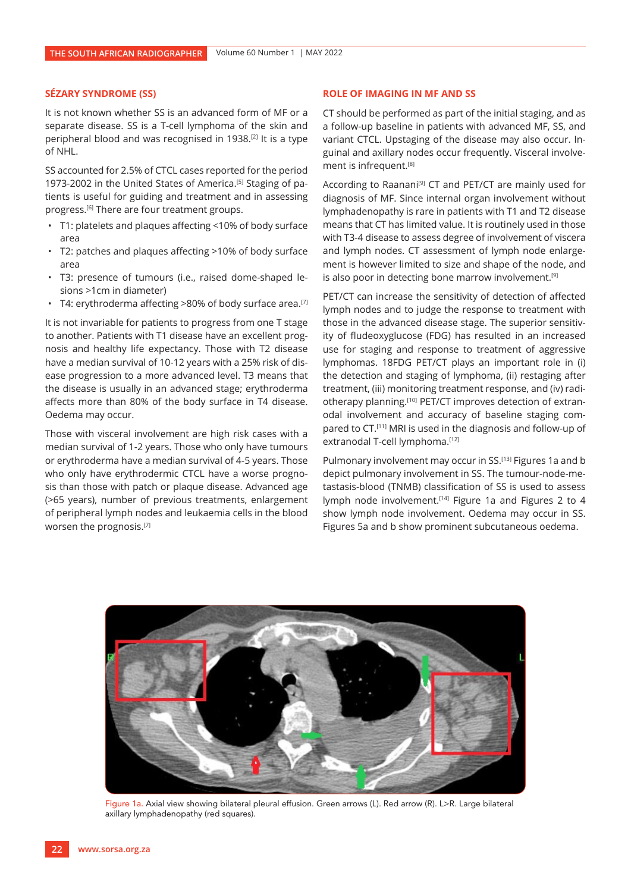#### **SÉZARY SYNDROME (SS)**

It is not known whether SS is an advanced form of MF or a separate disease. SS is a T-cell lymphoma of the skin and peripheral blood and was recognised in 1938.[2] It is a type of NHL.

SS accounted for 2.5% of CTCL cases reported for the period 1973-2002 in the United States of America.<sup>[5]</sup> Staging of patients is useful for guiding and treatment and in assessing progress.<sup>[6]</sup> There are four treatment groups.

- T1: platelets and plaques affecting <10% of body surface area
- T2: patches and plaques affecting >10% of body surface area
- T3: presence of tumours (i.e., raised dome-shaped lesions >1cm in diameter)
- T4: erythroderma affecting >80% of body surface area.<sup>[7]</sup>

It is not invariable for patients to progress from one T stage to another. Patients with T1 disease have an excellent prognosis and healthy life expectancy. Those with T2 disease have a median survival of 10-12 years with a 25% risk of disease progression to a more advanced level. T3 means that the disease is usually in an advanced stage; erythroderma affects more than 80% of the body surface in T4 disease. Oedema may occur.

Those with visceral involvement are high risk cases with a median survival of 1-2 years. Those who only have tumours or erythroderma have a median survival of 4-5 years. Those who only have erythrodermic CTCL have a worse prognosis than those with patch or plaque disease. Advanced age (>65 years), number of previous treatments, enlargement of peripheral lymph nodes and leukaemia cells in the blood worsen the prognosis.[7]

#### **ROLE OF IMAGING IN MF AND SS**

CT should be performed as part of the initial staging, and as a follow-up baseline in patients with advanced MF, SS, and variant CTCL. Upstaging of the disease may also occur. Inguinal and axillary nodes occur frequently. Visceral involvement is infrequent.[8]

According to Raanani<sup>[9]</sup> CT and PET/CT are mainly used for diagnosis of MF. Since internal organ involvement without lymphadenopathy is rare in patients with T1 and T2 disease means that CT has limited value. It is routinely used in those with T3-4 disease to assess degree of involvement of viscera and lymph nodes. CT assessment of lymph node enlargement is however limited to size and shape of the node, and is also poor in detecting bone marrow involvement.<sup>[9]</sup>

PET/CT can increase the sensitivity of detection of affected lymph nodes and to judge the response to treatment with those in the advanced disease stage. The superior sensitivity of fludeoxyglucose (FDG) has resulted in an increased use for staging and response to treatment of aggressive lymphomas. 18FDG PET/CT plays an important role in (i) the detection and staging of lymphoma, (ii) restaging after treatment, (iii) monitoring treatment response, and (iv) radiotherapy planning.<sup>[10]</sup> PET/CT improves detection of extranodal involvement and accuracy of baseline staging compared to CT.[11] MRI is used in the diagnosis and follow-up of extranodal T-cell lymphoma.[12]

Pulmonary involvement may occur in SS.<sup>[13]</sup> Figures 1a and b depict pulmonary involvement in SS. The tumour-node-metastasis-blood (TNMB) classification of SS is used to assess lymph node involvement.<sup>[14]</sup> Figure 1a and Figures 2 to 4 show lymph node involvement. Oedema may occur in SS. Figures 5a and b show prominent subcutaneous oedema.



Figure 1a. Axial view showing bilateral pleural effusion. Green arrows (L). Red arrow (R). L>R. Large bilateral axillary lymphadenopathy (red squares).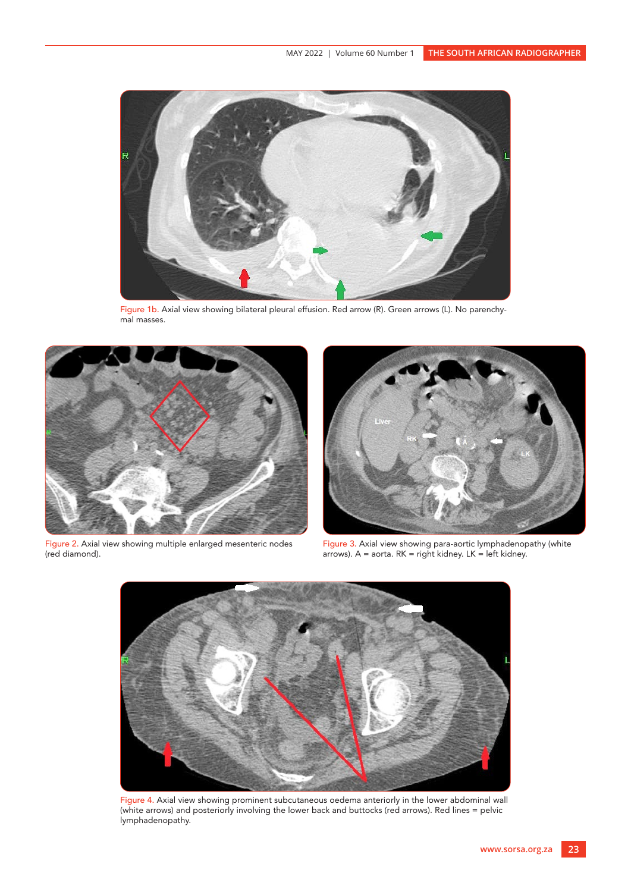

Figure 1b. Axial view showing bilateral pleural effusion. Red arrow (R). Green arrows (L). No parenchymal masses.



Figure 2. Axial view showing multiple enlarged mesenteric nodes (red diamond).



Figure 3. Axial view showing para-aortic lymphadenopathy (white arrows). A = aorta. RK = right kidney. LK = left kidney.



Figure 4. Axial view showing prominent subcutaneous oedema anteriorly in the lower abdominal wall (white arrows) and posteriorly involving the lower back and buttocks (red arrows). Red lines = pelvic lymphadenopathy.